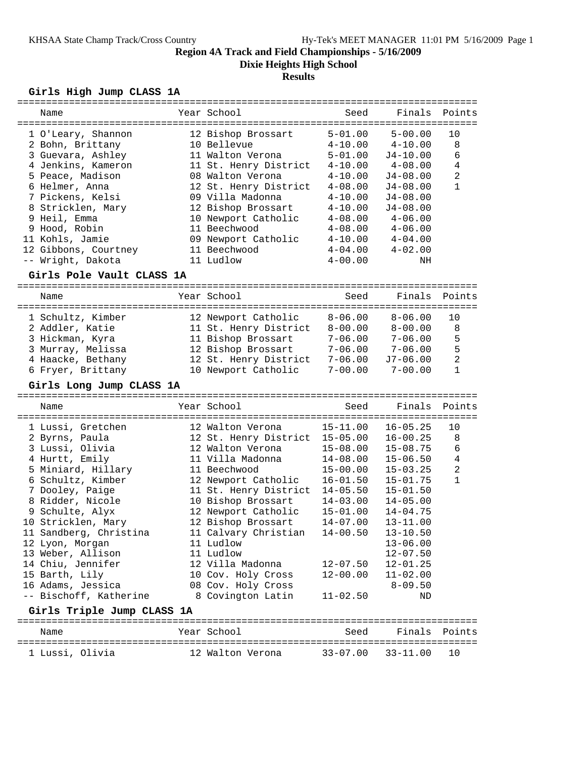**Dixie Heights High School**

# **Results**

# **Girls High Jump CLASS 1A**

| Name                                 | Year School                             | Seed                         | Finals                       | Points         |
|--------------------------------------|-----------------------------------------|------------------------------|------------------------------|----------------|
|                                      |                                         |                              |                              |                |
| 1 O'Leary, Shannon                   | 12 Bishop Brossart                      | $5 - 01.00$                  | $5 - 00.00$                  | 10             |
| 2 Bohn, Brittany                     | 10 Bellevue                             | $4 - 10.00$                  | $4 - 10.00$                  | 8              |
| 3 Guevara, Ashley                    | 11 Walton Verona                        | $5 - 01.00$                  | $J4 - 10.00$                 | 6              |
| 4 Jenkins, Kameron                   | 11 St. Henry District                   | $4 - 10.00$                  | $4 - 08.00$                  | 4              |
| 5 Peace, Madison                     | 08 Walton Verona                        | $4 - 10.00$                  | $J4 - 08.00$                 | $\overline{2}$ |
| 6 Helmer, Anna                       | 12 St. Henry District                   | $4 - 08.00$                  | J4-08.00                     | 1              |
| 7 Pickens, Kelsi                     | 09 Villa Madonna                        | $4 - 10.00$                  | $J4 - 08.00$                 |                |
| 8 Stricklen, Mary                    | 12 Bishop Brossart                      | $4 - 10.00$                  | $J4 - 08.00$                 |                |
| 9 Heil, Emma                         | 10 Newport Catholic                     | $4 - 08.00$                  | $4 - 06.00$                  |                |
| 9 Hood, Robin                        | 11 Beechwood                            | $4 - 08.00$                  | $4 - 06.00$                  |                |
| 11 Kohls, Jamie                      | 09 Newport Catholic                     | $4 - 10.00$                  | $4 - 04.00$                  |                |
| 12 Gibbons, Courtney                 | 11 Beechwood                            | $4 - 04.00$                  | $4 - 02.00$                  |                |
| -- Wright, Dakota                    | 11 Ludlow                               | $4 - 00.00$                  | ΝH                           |                |
| Girls Pole Vault CLASS 1A            |                                         |                              |                              |                |
|                                      |                                         |                              | ---------                    |                |
| Name                                 | Year School                             | Seed                         | Finals                       | Points         |
| 1 Schultz, Kimber                    | 12 Newport Catholic                     | $8 - 06.00$                  | $8 - 06.00$                  | 10             |
| 2 Addler, Katie                      | 11 St. Henry District                   | $8 - 00.00$                  | $8 - 00.00$                  | 8              |
| 3 Hickman, Kyra                      | 11 Bishop Brossart                      | $7 - 06.00$                  | $7 - 06.00$                  | 5              |
| 3 Murray, Melissa                    | 12 Bishop Brossart                      | $7 - 06.00$                  | $7 - 06.00$                  | 5              |
| 4 Haacke, Bethany                    | 12 St. Henry District                   | $7 - 06.00$                  | J7-06.00                     | $\overline{a}$ |
| 6 Fryer, Brittany                    | 10 Newport Catholic                     | $7 - 00.00$                  | $7 - 00.00$                  | $\mathbf{1}$   |
|                                      |                                         |                              |                              |                |
| Girls Long Jump CLASS 1A             |                                         |                              |                              |                |
| Name                                 | Year School                             | Seed                         | Finals                       | Points         |
|                                      |                                         |                              |                              |                |
| 1 Lussi, Gretchen                    | 12 Walton Verona                        | $15 - 11.00$                 | $16 - 05.25$                 | 10             |
|                                      |                                         |                              |                              |                |
| 2 Byrns, Paula                       | 12 St. Henry District                   | $15 - 05.00$                 | $16 - 00.25$                 | 8              |
| 3 Lussi, Olivia                      | 12 Walton Verona                        | $15 - 08.00$                 | $15 - 08.75$                 | 6              |
| 4 Hurtt, Emily                       | 11 Villa Madonna                        | $14 - 08.00$                 | $15 - 06.50$                 | $\overline{4}$ |
| 5 Miniard, Hillary                   | 11 Beechwood                            | $15 - 00.00$                 | $15 - 03.25$                 | $\overline{a}$ |
| 6 Schultz, Kimber                    | 12 Newport Catholic                     | $16 - 01.50$                 | $15 - 01.75$                 | $\mathbf{1}$   |
| 7 Dooley, Paige                      | 11 St. Henry District                   | $14 - 05.50$                 | $15 - 01.50$                 |                |
| 8 Ridder, Nicole                     | 10 Bishop Brossart                      | $14 - 03.00$                 | $14 - 05.00$                 |                |
| 9 Schulte, Alyx                      | 12 Newport Catholic                     | $15 - 01.00$                 | $14 - 04.75$                 |                |
| 10 Stricklen, Mary                   | 12 Bishop Brossart                      | $14 - 07.00$                 | $13 - 11.00$                 |                |
| 11 Sandberg, Christina               | 11 Calvary Christian                    | $14 - 00.50$                 | $13 - 10.50$                 |                |
|                                      | 11 Ludlow                               |                              | $13 - 06.00$                 |                |
| 12 Lyon, Morgan<br>13 Weber, Allison | 11 Ludlow                               |                              |                              |                |
|                                      | 12 Villa Madonna                        |                              | $12 - 07.50$<br>$12 - 01.25$ |                |
| 14 Chiu, Jennifer                    |                                         | $12 - 07.50$<br>$12 - 00.00$ |                              |                |
| 15 Barth, Lily                       | 10 Cov. Holy Cross                      |                              | $11 - 02.00$                 |                |
| 16 Adams, Jessica                    | 08 Cov. Holy Cross<br>8 Covington Latin | $11 - 02.50$                 | $8 - 09.50$<br>ΝD            |                |
| -- Bischoff, Katherine               |                                         |                              |                              |                |
| Girls Triple Jump CLASS 1A           |                                         |                              |                              |                |
| Name                                 | Year School                             | Seed                         | Finals                       | Points         |
| 1 Lussi, Olivia                      | 12 Walton Verona                        | $33 - 07.00$                 | $33 - 11.00$                 | 10             |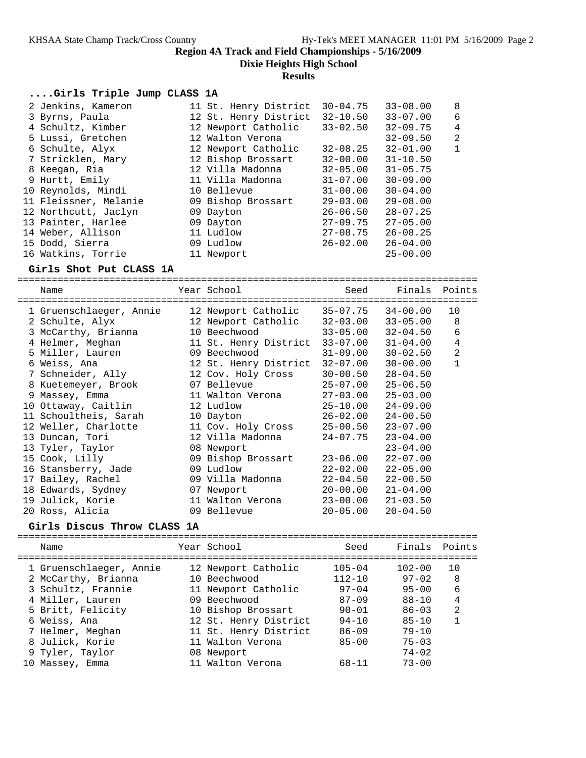**Dixie Heights High School**

#### **Results**

### **....Girls Triple Jump CLASS 1A**

| 2 Jenkins, Kameron    | 11 St. Henry District | $30 - 04.75$ | $33 - 08.00$ | 8            |
|-----------------------|-----------------------|--------------|--------------|--------------|
| 3 Byrns, Paula        | 12 St. Henry District | $32 - 10.50$ | $33 - 07.00$ | 6            |
| 4 Schultz, Kimber     | 12 Newport Catholic   | $33 - 02.50$ | $32 - 09.75$ | 4            |
| 5 Lussi, Gretchen     | 12 Walton Verona      |              | $32 - 09.50$ | 2            |
| 6 Schulte, Alyx       | 12 Newport Catholic   | $32 - 08.25$ | $32 - 01.00$ | $\mathbf{1}$ |
| 7 Stricklen, Mary     | 12 Bishop Brossart    | $32 - 00.00$ | $31 - 10.50$ |              |
| 8 Keegan, Ria         | 12 Villa Madonna      | $32 - 05.00$ | $31 - 05.75$ |              |
| 9 Hurtt, Emily        | 11 Villa Madonna      | $31 - 07.00$ | $30 - 09.00$ |              |
| 10 Reynolds, Mindi    | 10 Bellevue           | $31 - 00.00$ | $30 - 04.00$ |              |
| 11 Fleissner, Melanie | 09 Bishop Brossart    | $29 - 03.00$ | $29 - 08.00$ |              |
| 12 Northcutt, Jaclyn  | 09 Dayton             | $26 - 06.50$ | $28 - 07.25$ |              |
| 13 Painter, Harlee    | 09 Dayton             | $27 - 09.75$ | $27 - 05.00$ |              |
| 14 Weber, Allison     | 11 Ludlow             | $27 - 08.75$ | $26 - 08.25$ |              |
| 15 Dodd, Sierra       | 09 Ludlow             | $26 - 02.00$ | $26 - 04.00$ |              |
| 16 Watkins, Torrie    | 11 Newport            |              | $25 - 00.00$ |              |

#### **Girls Shot Put CLASS 1A**

================================================================================

| Name                    | Year School           | Seed         | Finals       | Points         |
|-------------------------|-----------------------|--------------|--------------|----------------|
| 1 Gruenschlaeger, Annie | 12 Newport Catholic   | 35-07.75     | 34-00.00     | 10             |
| 2 Schulte, Alyx         | 12 Newport Catholic   | $32 - 03.00$ | $33 - 05.00$ | 8              |
| 3 McCarthy, Brianna     | 10 Beechwood          | $33 - 05.00$ | $32 - 04.50$ | 6              |
| 4 Helmer, Meghan        | 11 St. Henry District | $33 - 07.00$ | $31 - 04.00$ | $\overline{4}$ |
| 5 Miller, Lauren        | 09 Beechwood          | $31 - 09.00$ | $30 - 02.50$ | $\overline{c}$ |
| 6 Weiss, Ana            | 12 St. Henry District | $32 - 07.00$ | $30 - 00.00$ | $\mathbf{1}$   |
| 7 Schneider, Ally       | 12 Cov. Holy Cross    | $30 - 00.50$ | $28 - 04.50$ |                |
| 8 Kuetemeyer, Brook     | 07 Bellevue           | $25 - 07.00$ | $25 - 06.50$ |                |
| 9 Massey, Emma          | 11 Walton Verona      | $27 - 03.00$ | $25 - 03.00$ |                |
| 10 Ottaway, Caitlin     | 12 Ludlow             | 25-10.00     | $24 - 09.00$ |                |
| 11 Schoultheis, Sarah   | 10 Dayton             | $26 - 02.00$ | $24 - 00.50$ |                |
| 12 Weller, Charlotte    | 11 Cov. Holy Cross    | 25-00.50     | $23 - 07.00$ |                |
| 13 Duncan, Tori         | 12 Villa Madonna      | 24-07.75     | $23 - 04.00$ |                |
| 13 Tyler, Taylor        | 08 Newport            |              | $23 - 04.00$ |                |
| 15 Cook, Lilly          | 09 Bishop Brossart    | $23 - 06.00$ | $22 - 07.00$ |                |
| 16 Stansberry, Jade     | 09 Ludlow             | $22 - 02.00$ | $22 - 05.00$ |                |
| 17 Bailey, Rachel       | 09 Villa Madonna      | $22 - 04.50$ | $22 - 00.50$ |                |
| 18 Edwards, Sydney      | 07 Newport            | $20 - 00.00$ | $21 - 04.00$ |                |
| 19 Julick, Korie        | 11 Walton Verona      | $23 - 00.00$ | $21 - 03.50$ |                |
| 20 Ross, Alicia         | 09 Bellevue           | $20 - 05.00$ | $20 - 04.50$ |                |

### **Girls Discus Throw CLASS 1A**

================================================================================ Name The Year School Seed Finals Points ================================================================================ 1 Gruenschlaeger, Annie 12 Newport Catholic 105-04 102-00 10 2 McCarthy, Brianna 10 Beechwood 112-10 97-02 8 3 Schultz, Frannie 11 Newport Catholic 97-04 95-00 6 4 Miller, Lauren 09 Beechwood 87-09 88-10 4 5 Britt, Felicity 10 Bishop Brossart 90-01 86-03 2 6 Weiss, Ana 12 St. Henry District 94-10 85-10 1 7 Helmer, Meghan 11 St. Henry District 86-09 79-10 8 Julick, Korie 11 Walton Verona 85-00 75-03 9 Tyler, Taylor 08 Newport 74-02 10 Massey, Emma 11 Walton Verona 68-11 73-00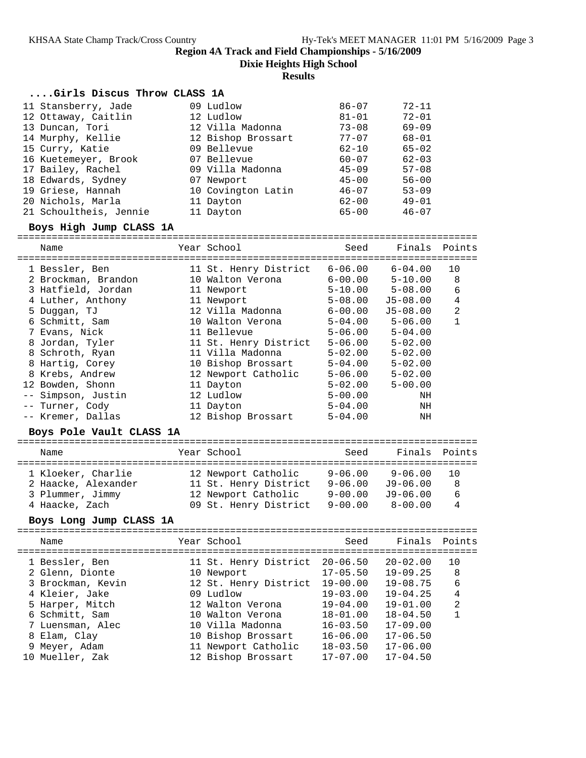**Dixie Heights High School**

### **Results**

### **....Girls Discus Throw CLASS 1A**

| 11 Stansberry, Jade    | 09 Ludlow          | $86 - 07$ | $72 - 11$ |
|------------------------|--------------------|-----------|-----------|
| 12 Ottaway, Caitlin    | 12 Ludlow          | $81 - 01$ | $72 - 01$ |
| 13 Duncan, Tori        | 12 Villa Madonna   | $73 - 08$ | $69 - 09$ |
| 14 Murphy, Kellie      | 12 Bishop Brossart | $77 - 07$ | $68 - 01$ |
| 15 Curry, Katie        | 09 Bellevue        | $62 - 10$ | $65 - 02$ |
| 16 Kuetemeyer, Brook   | 07 Bellevue        | $60 - 07$ | $62 - 03$ |
| 17 Bailey, Rachel      | 09 Villa Madonna   | $45 - 09$ | $57 - 08$ |
| 18 Edwards, Sydney     | 07 Newport         | $45 - 00$ | $56 - 00$ |
| 19 Griese, Hannah      | 10 Covington Latin | $46 - 07$ | $53 - 09$ |
| 20 Nichols, Marla      | 11 Dayton          | $62 - 00$ | $49 - 01$ |
| 21 Schoultheis, Jennie | 11 Dayton          | $65 - 00$ | $46 - 07$ |

### **Boys High Jump CLASS 1A**

================================================================================

| Name<br>============================= | Year School           | Seed        | Finals       | Points      |
|---------------------------------------|-----------------------|-------------|--------------|-------------|
| 1 Bessler, Ben                        | 11 St. Henry District | $6 - 06.00$ | $6 - 04.00$  | 10          |
| 2 Brockman, Brandon                   | 10 Walton Verona      | $6 - 00.00$ | $5 - 10.00$  | 8           |
| 3 Hatfield, Jordan                    | 11 Newport            | $5 - 10.00$ | $5 - 08.00$  | 6           |
| 4 Luther, Anthony                     | 11 Newport            | $5 - 08.00$ | $J5 - 08.00$ | 4           |
| 5 Duggan, TJ                          | 12 Villa Madonna      | $6 - 00.00$ | $J5 - 08.00$ | 2           |
| 6 Schmitt, Sam                        | 10 Walton Verona      | $5 - 04.00$ | $5 - 06.00$  | $\mathbf 1$ |
| 7 Evans, Nick                         | 11 Bellevue           | $5 - 06.00$ | $5 - 04.00$  |             |
| 8 Jordan, Tyler                       | 11 St. Henry District | $5 - 06.00$ | $5 - 02.00$  |             |
| 8 Schroth, Ryan                       | 11 Villa Madonna      | $5 - 02.00$ | $5 - 02.00$  |             |
| 8 Hartig, Corey                       | 10 Bishop Brossart    | $5 - 04.00$ | $5 - 02.00$  |             |
| 8 Krebs, Andrew                       | 12 Newport Catholic   | $5 - 06.00$ | $5 - 02.00$  |             |
| 12 Bowden, Shonn                      | 11 Dayton             | $5 - 02.00$ | $5 - 00.00$  |             |
| -- Simpson, Justin                    | 12 Ludlow             | $5 - 00.00$ | ΝH           |             |
| -- Turner, Cody                       | 11 Dayton             | $5 - 04.00$ | ΝH           |             |
| -- Kremer, Dallas                     | 12 Bishop Brossart    | $5 - 04.00$ | ΝH           |             |

### **Boys Pole Vault CLASS 1A**

| Name                | Year School           | Seed        | Finals Points |     |
|---------------------|-----------------------|-------------|---------------|-----|
| 1 Kloeker, Charlie  | 12 Newport Catholic   | $9 - 06.00$ | $9 - 06.00$   | 1 O |
| 2 Haacke, Alexander | 11 St. Henry District | $9 - 06.00$ | $J9 - 06.00$  | 8   |
| 3 Plummer, Jimmy    | 12 Newport Catholic   | $9 - 00.00$ | $J9-06.00$    | 6   |
| 4 Haacke, Zach      | 09 St. Henry District | $9 - 00.00$ | $8 - 00.00$   | 4   |

### **Boys Long Jump CLASS 1A**

| Name                              | Year School                         | Seed                         | Finals Points                |                |
|-----------------------------------|-------------------------------------|------------------------------|------------------------------|----------------|
| 1 Bessler, Ben<br>2 Glenn, Dionte | 11 St. Henry District<br>10 Newport | $20 - 06.50$<br>$17 - 05.50$ | $20 - 02.00$<br>$19 - 09.25$ | 10<br>8        |
| 3 Brockman, Kevin                 | 12 St. Henry District               | $19 - 00.00$                 | $19 - 08.75$                 | 6              |
| 4 Kleier, Jake                    | 09 Ludlow                           | $19 - 03.00$                 | $19 - 04.25$                 | 4              |
| 5 Harper, Mitch                   | 12 Walton Verona                    | $19 - 04.00$                 | $19 - 01.00$                 | $\mathfrak{D}$ |
| 6 Schmitt, Sam                    | 10 Walton Verona                    | $18 - 01.00$                 | $18 - 04.50$                 |                |
| 7 Luensman, Alec                  | 10 Villa Madonna                    | $16 - 03.50$                 | $17 - 09.00$                 |                |
| 8 Elam, Clay                      | 10 Bishop Brossart                  | $16 - 06.00$                 | $17 - 06.50$                 |                |
| 9 Meyer, Adam                     | 11 Newport Catholic                 | $18 - 03.50$                 | $17 - 06.00$                 |                |
| 10 Mueller, Zak                   | 12 Bishop Brossart                  | $17 - 07.00$                 | $17 - 04.50$                 |                |
|                                   |                                     |                              |                              |                |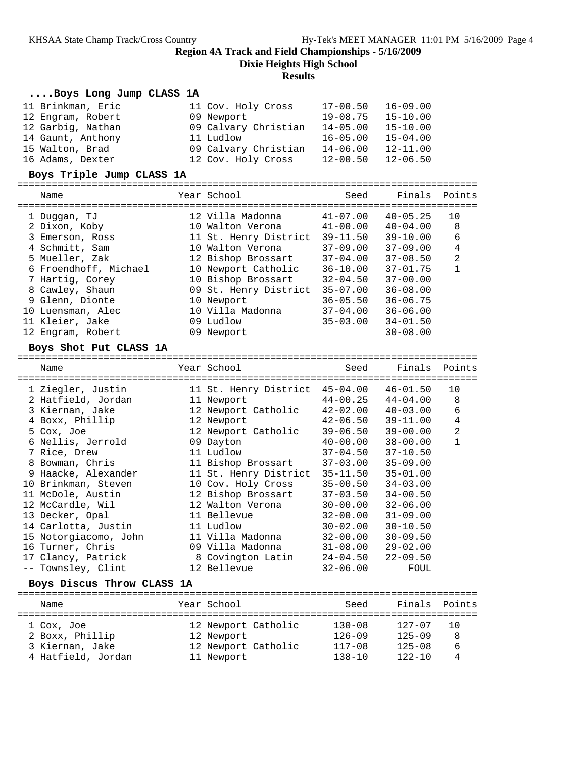**Dixie Heights High School**

#### **Results**

### **....Boys Long Jump CLASS 1A**

| 11 Brinkman, Eric | 11 Cov. Holy Cross   | 17-00.50     | 16-09.00     |
|-------------------|----------------------|--------------|--------------|
| 12 Engram, Robert | 09 Newport           | $19 - 08.75$ | $15 - 10.00$ |
| 12 Garbig, Nathan | 09 Calvary Christian | $14 - 05.00$ | $15 - 10.00$ |
| 14 Gaunt, Anthony | 11 Ludlow            | $16 - 05.00$ | $15 - 04.00$ |
| 15 Walton, Brad   | 09 Calvary Christian | $14 - 06.00$ | $12 - 11.00$ |
| 16 Adams, Dexter  | 12 Cov. Holy Cross   | $12 - 00.50$ | $12 - 06.50$ |

#### **Boys Triple Jump CLASS 1A**

| Name                  | Year School           | Seed         | Finals       | Points         |
|-----------------------|-----------------------|--------------|--------------|----------------|
| 1 Duqqan, TJ          | 12 Villa Madonna      | $41 - 07.00$ | $40 - 05.25$ | 10             |
| 2 Dixon, Koby         | 10 Walton Verona      | $41 - 00.00$ | $40 - 04.00$ | 8              |
| 3 Emerson, Ross       | 11 St. Henry District | $39 - 11.50$ | $39 - 10.00$ | 6              |
| 4 Schmitt, Sam        | 10 Walton Verona      | $37 - 09.00$ | $37 - 09.00$ | 4              |
| 5 Mueller, Zak        | 12 Bishop Brossart    | $37 - 04.00$ | $37 - 08.50$ | $\overline{2}$ |
| 6 Froendhoff, Michael | 10 Newport Catholic   | $36 - 10.00$ | $37 - 01.75$ | 1              |
| 7 Hartig, Corey       | 10 Bishop Brossart    | $32 - 04.50$ | $37 - 00.00$ |                |
| 8 Cawley, Shaun       | 09 St. Henry District | $35 - 07.00$ | $36 - 08.00$ |                |
| 9 Glenn, Dionte       | 10 Newport            | $36 - 05.50$ | $36 - 06.75$ |                |
| 10 Luensman, Alec     | 10 Villa Madonna      | $37 - 04.00$ | $36 - 06.00$ |                |
| 11 Kleier, Jake       | 09 Ludlow             | $35 - 03.00$ | $34 - 01.50$ |                |
| 12 Engram, Robert     | 09 Newport            |              | $30 - 08.00$ |                |

#### **Boys Shot Put CLASS 1A**

================================================================================ Name The Year School Seed Finals Points ================================================================================ 1 Ziegler, Justin 11 St. Henry District 45-04.00 46-01.50 10 2 Hatfield, Jordan 11 Newport 44-00.25 44-04.00 8 3 Kiernan, Jake 12 Newport Catholic 42-02.00 40-03.00 6 4 Boxx, Phillip 12 Newport 42-06.50 39-11.00 4 5 Cox, Joe 12 Newport Catholic 39-06.50 39-00.00 2 6 Nellis, Jerrold 09 Dayton 40-00.00 38-00.00 1 7 Rice, Drew 11 Ludlow 37-04.50 37-10.50 8 Bowman, Chris 11 Bishop Brossart 37-03.00 35-09.00 9 Haacke, Alexander 11 St. Henry District 35-11.50 35-01.00 10 Brinkman, Steven 10 Cov. Holy Cross 35-00.50 34-03.00 11 McDole, Austin 12 Bishop Brossart 37-03.50 34-00.50 12 McCardle, Wil 12 Walton Verona 30-00.00 32-06.00 13 Decker, Opal 11 Bellevue 32-00.00 31-09.00 14 Carlotta, Justin 11 Ludlow 30-02.00 30-10.50 15 Notorgiacomo, John 11 Villa Madonna 32-00.00 30-09.50 16 Turner, Chris 09 Villa Madonna 31-08.00 29-02.00 17 Clancy, Patrick 8 Covington Latin 24-04.50 22-09.50 -- Townsley, Clint 12 Bellevue 32-06.00 FOUL **Boys Discus Throw CLASS 1A** ================================================================================

| Name               | Year School         | Seed       | Finals Points |     |
|--------------------|---------------------|------------|---------------|-----|
| 1 Cox, Joe         | 12 Newport Catholic | $130 - 08$ | $127 - 07$    | 1 O |
| 2 Boxx, Phillip    | 12 Newport          | $126 - 09$ | $125 - 09$    | 8   |
| 3 Kiernan, Jake    | 12 Newport Catholic | $117 - 08$ | $125 - 08$    | 6   |
| 4 Hatfield, Jordan | 11 Newport          | $138 - 10$ | $122 - 10$    | 4   |